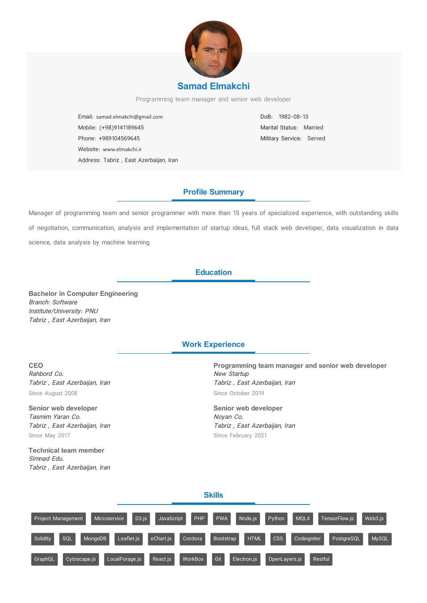

Programming team manager and senior web developer

Email: samad.elmakchi@gmail.com Mobile: (+98)9141189645 Phone: +989104569645 Website: www.elmakchi.ir Address: Tabriz , East Azerbaijan, Iran DoB: 1982-08-13 Marital Status: Married Military Service: Served

# **Profile Summary**

Manager of programming team and senior programmer with more than 15 years of specialized experience, with outstanding skills of negotiation, communication, analysis and implementation of startup ideas, full stack web developer, data visualization in data science, data analysis by machine learning

## **Education**

**Bachelor in Computer Engineering** Branch: Software Institute/University: PNU Tabriz , East Azerbaijan, Iran

### **Work Experience**

**CEO** Rahbord Co. Tabriz , East Azerbaijan, Iran Since August 2008

**Senior web developer** Tasmim Yaran Co. Tabriz , East Azerbaijan, Iran Since May 2017

**Technical team member** Simnad Edu. Tabriz , East Azerbaijan, Iran **Programming team manager and senior web developer** New Startup Tabriz , East Azerbaijan, Iran Since October 2019

**Senior web developer** Noyan Co. Tabriz , East Azerbaijan, Iran Since February 2021

#### **Skills**